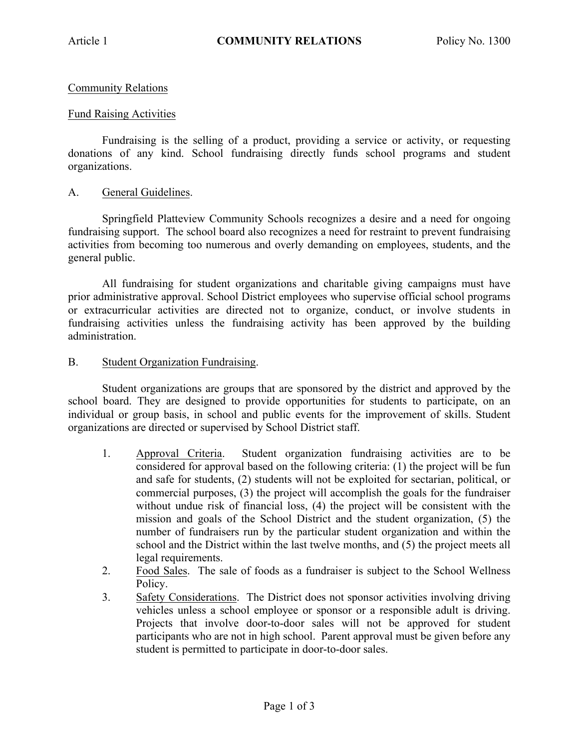# Community Relations

## Fund Raising Activities

Fundraising is the selling of a product, providing a service or activity, or requesting donations of any kind. School fundraising directly funds school programs and student organizations.

### A. General Guidelines.

Springfield Platteview Community Schools recognizes a desire and a need for ongoing fundraising support. The school board also recognizes a need for restraint to prevent fundraising activities from becoming too numerous and overly demanding on employees, students, and the general public.

All fundraising for student organizations and charitable giving campaigns must have prior administrative approval. School District employees who supervise official school programs or extracurricular activities are directed not to organize, conduct, or involve students in fundraising activities unless the fundraising activity has been approved by the building administration.

### B. Student Organization Fundraising.

Student organizations are groups that are sponsored by the district and approved by the school board. They are designed to provide opportunities for students to participate, on an individual or group basis, in school and public events for the improvement of skills. Student organizations are directed or supervised by School District staff.

- 1. Approval Criteria. Student organization fundraising activities are to be considered for approval based on the following criteria: (1) the project will be fun and safe for students, (2) students will not be exploited for sectarian, political, or commercial purposes, (3) the project will accomplish the goals for the fundraiser without undue risk of financial loss, (4) the project will be consistent with the mission and goals of the School District and the student organization, (5) the number of fundraisers run by the particular student organization and within the school and the District within the last twelve months, and (5) the project meets all legal requirements.
- 2. Food Sales. The sale of foods as a fundraiser is subject to the School Wellness Policy.
- 3. Safety Considerations. The District does not sponsor activities involving driving vehicles unless a school employee or sponsor or a responsible adult is driving. Projects that involve door-to-door sales will not be approved for student participants who are not in high school. Parent approval must be given before any student is permitted to participate in door-to-door sales.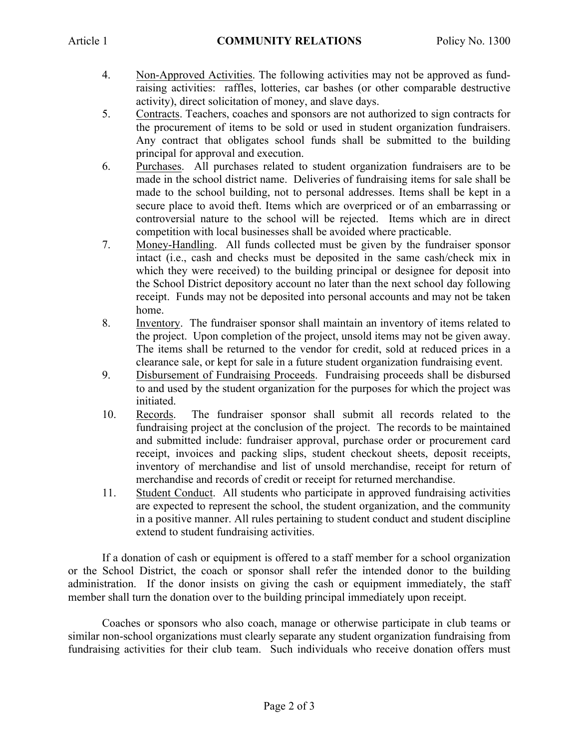- 4. Non-Approved Activities. The following activities may not be approved as fundraising activities: raffles, lotteries, car bashes (or other comparable destructive activity), direct solicitation of money, and slave days.
- 5. Contracts. Teachers, coaches and sponsors are not authorized to sign contracts for the procurement of items to be sold or used in student organization fundraisers. Any contract that obligates school funds shall be submitted to the building principal for approval and execution.
- 6. Purchases. All purchases related to student organization fundraisers are to be made in the school district name. Deliveries of fundraising items for sale shall be made to the school building, not to personal addresses. Items shall be kept in a secure place to avoid theft. Items which are overpriced or of an embarrassing or controversial nature to the school will be rejected. Items which are in direct competition with local businesses shall be avoided where practicable.
- 7. Money-Handling. All funds collected must be given by the fundraiser sponsor intact (i.e., cash and checks must be deposited in the same cash/check mix in which they were received) to the building principal or designee for deposit into the School District depository account no later than the next school day following receipt. Funds may not be deposited into personal accounts and may not be taken home.
- 8. Inventory. The fundraiser sponsor shall maintain an inventory of items related to the project. Upon completion of the project, unsold items may not be given away. The items shall be returned to the vendor for credit, sold at reduced prices in a clearance sale, or kept for sale in a future student organization fundraising event.
- 9. Disbursement of Fundraising Proceeds. Fundraising proceeds shall be disbursed to and used by the student organization for the purposes for which the project was initiated.
- 10. Records. The fundraiser sponsor shall submit all records related to the fundraising project at the conclusion of the project. The records to be maintained and submitted include: fundraiser approval, purchase order or procurement card receipt, invoices and packing slips, student checkout sheets, deposit receipts, inventory of merchandise and list of unsold merchandise, receipt for return of merchandise and records of credit or receipt for returned merchandise.
- 11. Student Conduct. All students who participate in approved fundraising activities are expected to represent the school, the student organization, and the community in a positive manner. All rules pertaining to student conduct and student discipline extend to student fundraising activities.

If a donation of cash or equipment is offered to a staff member for a school organization or the School District, the coach or sponsor shall refer the intended donor to the building administration. If the donor insists on giving the cash or equipment immediately, the staff member shall turn the donation over to the building principal immediately upon receipt.

Coaches or sponsors who also coach, manage or otherwise participate in club teams or similar non-school organizations must clearly separate any student organization fundraising from fundraising activities for their club team. Such individuals who receive donation offers must